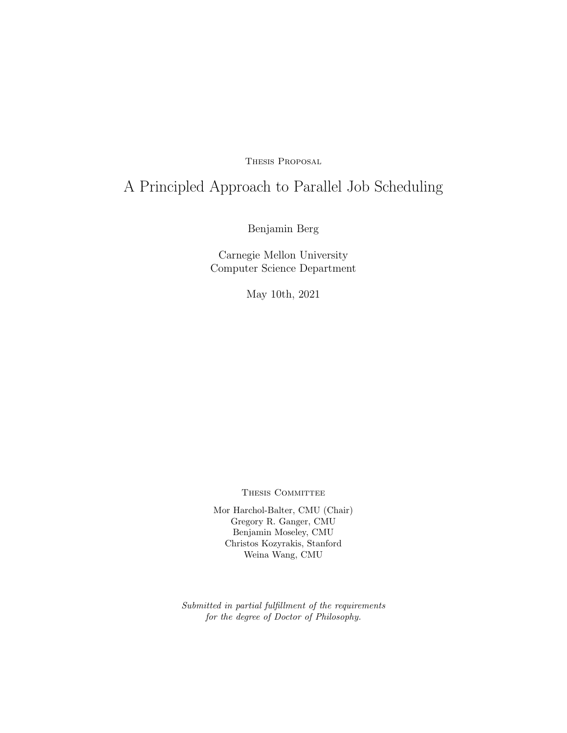Thesis Proposal

# A Principled Approach to Parallel Job Scheduling

Benjamin Berg

Carnegie Mellon University Computer Science Department

May 10th, 2021

THESIS COMMITTEE

Mor Harchol-Balter, CMU (Chair) Gregory R. Ganger, CMU Benjamin Moseley, CMU Christos Kozyrakis, Stanford Weina Wang, CMU

Submitted in partial fulfillment of the requirements for the degree of Doctor of Philosophy.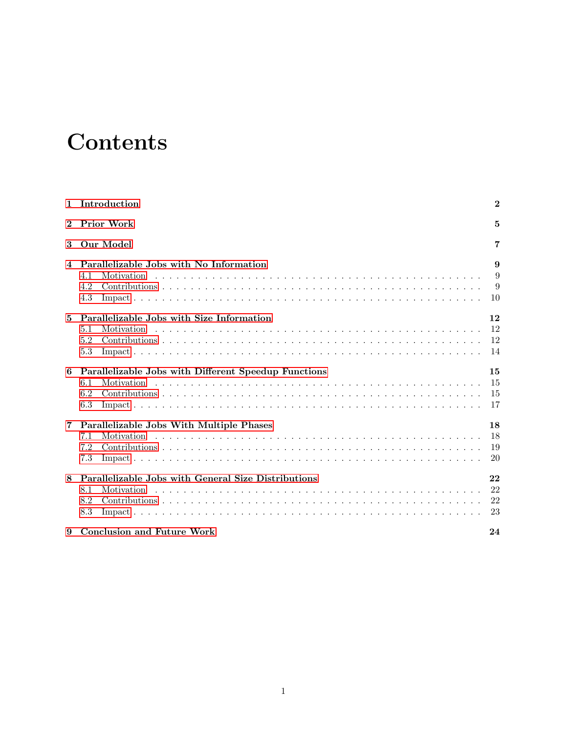# **Contents**

| $\mathbf{1}$   | Introduction                                                                            | $\bf{2}$             |
|----------------|-----------------------------------------------------------------------------------------|----------------------|
| $\overline{2}$ | <b>Prior Work</b>                                                                       | 5                    |
| 3              | Our Model                                                                               | 7                    |
| 4              | Parallelizable Jobs with No Information<br>4.1<br>Motivation<br>4.2<br>4.3              | 9<br>9<br>9<br>10    |
| $\overline{5}$ | Parallelizable Jobs with Size Information<br>5.1<br>Motivation<br>5.2<br>5.3            | 12<br>12<br>12<br>14 |
| 6              | Parallelizable Jobs with Different Speedup Functions<br>6.1<br>Motivation<br>6.2<br>6.3 | 15<br>15<br>15<br>17 |
| 7              | Parallelizable Jobs With Multiple Phases<br>Motivation<br>7.1<br>7.2<br>7.3             | 18<br>18<br>19<br>20 |
| 8              | Parallelizable Jobs with General Size Distributions<br>8.1<br>Motivation<br>8.2<br>8.3  | 22<br>22<br>22<br>23 |
| 9              | <b>Conclusion and Future Work</b>                                                       | 24                   |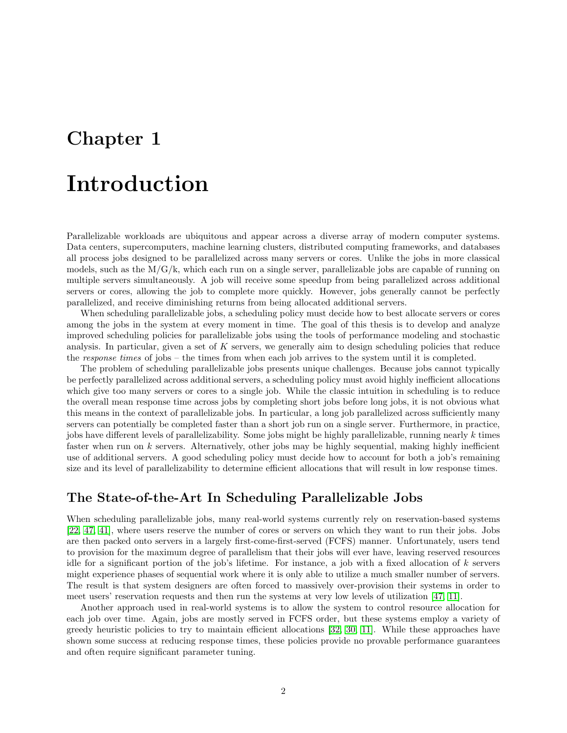# <span id="page-2-0"></span>Introduction

Parallelizable workloads are ubiquitous and appear across a diverse array of modern computer systems. Data centers, supercomputers, machine learning clusters, distributed computing frameworks, and databases all process jobs designed to be parallelized across many servers or cores. Unlike the jobs in more classical models, such as the  $M/G/k$ , which each run on a single server, parallelizable jobs are capable of running on multiple servers simultaneously. A job will receive some speedup from being parallelized across additional servers or cores, allowing the job to complete more quickly. However, jobs generally cannot be perfectly parallelized, and receive diminishing returns from being allocated additional servers.

When scheduling parallelizable jobs, a scheduling policy must decide how to best allocate servers or cores among the jobs in the system at every moment in time. The goal of this thesis is to develop and analyze improved scheduling policies for parallelizable jobs using the tools of performance modeling and stochastic analysis. In particular, given a set of  $K$  servers, we generally aim to design scheduling policies that reduce the response times of jobs – the times from when each job arrives to the system until it is completed.

The problem of scheduling parallelizable jobs presents unique challenges. Because jobs cannot typically be perfectly parallelized across additional servers, a scheduling policy must avoid highly inefficient allocations which give too many servers or cores to a single job. While the classic intuition in scheduling is to reduce the overall mean response time across jobs by completing short jobs before long jobs, it is not obvious what this means in the context of parallelizable jobs. In particular, a long job parallelized across sufficiently many servers can potentially be completed faster than a short job run on a single server. Furthermore, in practice, jobs have different levels of parallelizability. Some jobs might be highly parallelizable, running nearly k times faster when run on  $k$  servers. Alternatively, other jobs may be highly sequential, making highly inefficient use of additional servers. A good scheduling policy must decide how to account for both a job's remaining size and its level of parallelizability to determine efficient allocations that will result in low response times.

### The State-of-the-Art In Scheduling Parallelizable Jobs

When scheduling parallelizable jobs, many real-world systems currently rely on reservation-based systems [\[22,](#page-27-0) [47,](#page-28-0) [41\]](#page-28-1), where users reserve the number of cores or servers on which they want to run their jobs. Jobs are then packed onto servers in a largely first-come-first-served (FCFS) manner. Unfortunately, users tend to provision for the maximum degree of parallelism that their jobs will ever have, leaving reserved resources idle for a significant portion of the job's lifetime. For instance, a job with a fixed allocation of  $k$  servers might experience phases of sequential work where it is only able to utilize a much smaller number of servers. The result is that system designers are often forced to massively over-provision their systems in order to meet users' reservation requests and then run the systems at very low levels of utilization [\[47,](#page-28-0) [11\]](#page-26-0).

Another approach used in real-world systems is to allow the system to control resource allocation for each job over time. Again, jobs are mostly served in FCFS order, but these systems employ a variety of greedy heuristic policies to try to maintain efficient allocations [\[32,](#page-27-1) [30,](#page-27-2) [11\]](#page-26-0). While these approaches have shown some success at reducing response times, these policies provide no provable performance guarantees and often require significant parameter tuning.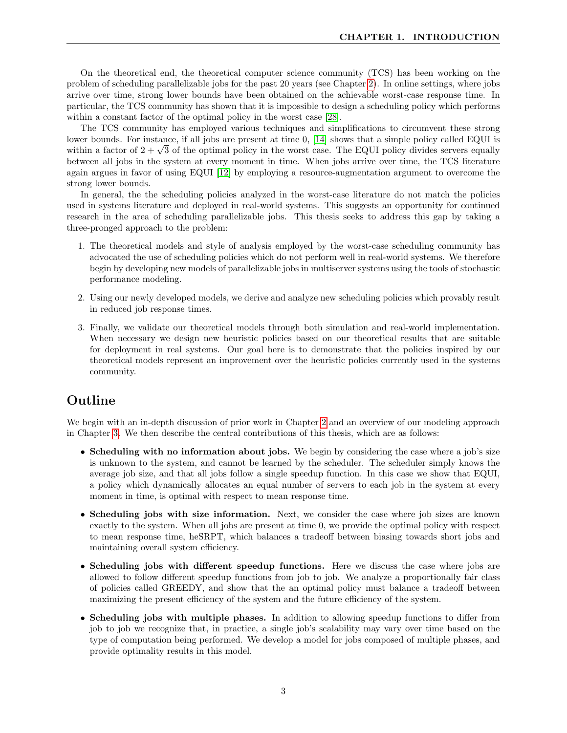On the theoretical end, the theoretical computer science community (TCS) has been working on the problem of scheduling parallelizable jobs for the past 20 years (see Chapter [2\)](#page-5-0). In online settings, where jobs arrive over time, strong lower bounds have been obtained on the achievable worst-case response time. In particular, the TCS community has shown that it is impossible to design a scheduling policy which performs within a constant factor of the optimal policy in the worst case [\[28\]](#page-27-3).

The TCS community has employed various techniques and simplifications to circumvent these strong lower bounds. For instance, if all jobs are present at time 0, [\[14\]](#page-26-1) shows that a simple policy called EQUI is lower bounds. For instance, if all jobs are present at time 0, [14] shows that a simple policy called EQUI is<br>within a factor of  $2 + \sqrt{3}$  of the optimal policy in the worst case. The EQUI policy divides servers equally between all jobs in the system at every moment in time. When jobs arrive over time, the TCS literature again argues in favor of using EQUI [\[12\]](#page-26-2) by employing a resource-augmentation argument to overcome the strong lower bounds.

In general, the the scheduling policies analyzed in the worst-case literature do not match the policies used in systems literature and deployed in real-world systems. This suggests an opportunity for continued research in the area of scheduling parallelizable jobs. This thesis seeks to address this gap by taking a three-pronged approach to the problem:

- 1. The theoretical models and style of analysis employed by the worst-case scheduling community has advocated the use of scheduling policies which do not perform well in real-world systems. We therefore begin by developing new models of parallelizable jobs in multiserver systems using the tools of stochastic performance modeling.
- 2. Using our newly developed models, we derive and analyze new scheduling policies which provably result in reduced job response times.
- 3. Finally, we validate our theoretical models through both simulation and real-world implementation. When necessary we design new heuristic policies based on our theoretical results that are suitable for deployment in real systems. Our goal here is to demonstrate that the policies inspired by our theoretical models represent an improvement over the heuristic policies currently used in the systems community.

## Outline

We begin with an in-depth discussion of prior work in Chapter [2](#page-5-0) and an overview of our modeling approach in Chapter [3.](#page-7-0) We then describe the central contributions of this thesis, which are as follows:

- Scheduling with no information about jobs. We begin by considering the case where a job's size is unknown to the system, and cannot be learned by the scheduler. The scheduler simply knows the average job size, and that all jobs follow a single speedup function. In this case we show that EQUI, a policy which dynamically allocates an equal number of servers to each job in the system at every moment in time, is optimal with respect to mean response time.
- Scheduling jobs with size information. Next, we consider the case where job sizes are known exactly to the system. When all jobs are present at time 0, we provide the optimal policy with respect to mean response time, heSRPT, which balances a tradeoff between biasing towards short jobs and maintaining overall system efficiency.
- Scheduling jobs with different speedup functions. Here we discuss the case where jobs are allowed to follow different speedup functions from job to job. We analyze a proportionally fair class of policies called GREEDY, and show that the an optimal policy must balance a tradeoff between maximizing the present efficiency of the system and the future efficiency of the system.
- Scheduling jobs with multiple phases. In addition to allowing speedup functions to differ from job to job we recognize that, in practice, a single job's scalability may vary over time based on the type of computation being performed. We develop a model for jobs composed of multiple phases, and provide optimality results in this model.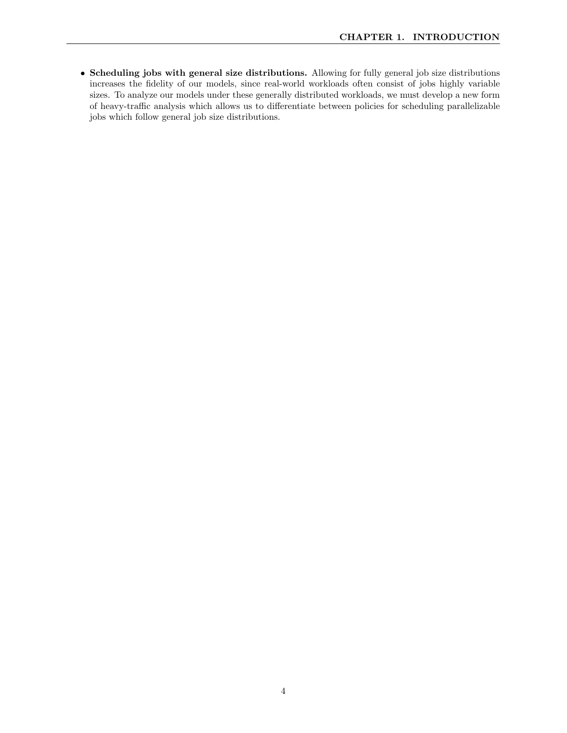• Scheduling jobs with general size distributions. Allowing for fully general job size distributions increases the fidelity of our models, since real-world workloads often consist of jobs highly variable sizes. To analyze our models under these generally distributed workloads, we must develop a new form of heavy-traffic analysis which allows us to differentiate between policies for scheduling parallelizable jobs which follow general job size distributions.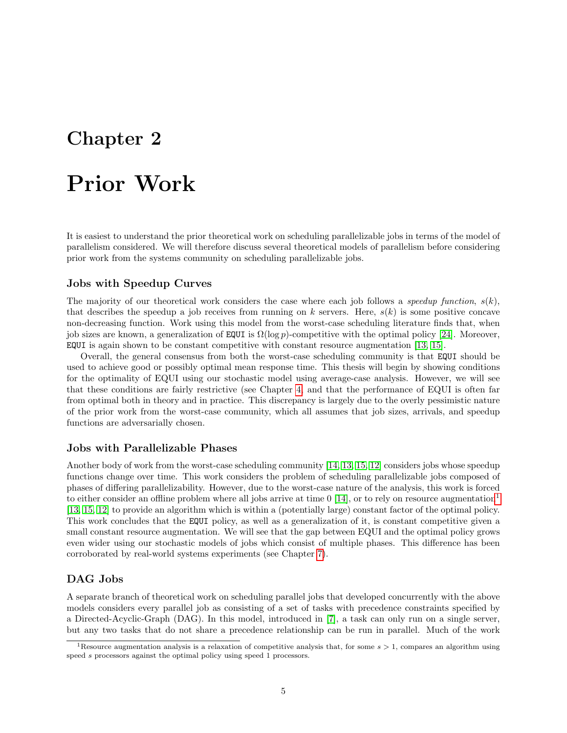# <span id="page-5-0"></span>Prior Work

It is easiest to understand the prior theoretical work on scheduling parallelizable jobs in terms of the model of parallelism considered. We will therefore discuss several theoretical models of parallelism before considering prior work from the systems community on scheduling parallelizable jobs.

### Jobs with Speedup Curves

The majority of our theoretical work considers the case where each job follows a speedup function,  $s(k)$ , that describes the speedup a job receives from running on k servers. Here,  $s(k)$  is some positive concave non-decreasing function. Work using this model from the worst-case scheduling literature finds that, when job sizes are known, a generalization of EQUI is  $\Omega(\log p)$ -competitive with the optimal policy [\[24\]](#page-27-4). Moreover, EQUI is again shown to be constant competitive with constant resource augmentation [\[13,](#page-26-3) [15\]](#page-26-4).

Overall, the general consensus from both the worst-case scheduling community is that EQUI should be used to achieve good or possibly optimal mean response time. This thesis will begin by showing conditions for the optimality of EQUI using our stochastic model using average-case analysis. However, we will see that these conditions are fairly restrictive (see Chapter [4,](#page-9-0) and that the performance of EQUI is often far from optimal both in theory and in practice. This discrepancy is largely due to the overly pessimistic nature of the prior work from the worst-case community, which all assumes that job sizes, arrivals, and speedup functions are adversarially chosen.

#### Jobs with Parallelizable Phases

Another body of work from the worst-case scheduling community [\[14,](#page-26-1) [13,](#page-26-3) [15,](#page-26-4) [12\]](#page-26-2) considers jobs whose speedup functions change over time. This work considers the problem of scheduling parallelizable jobs composed of phases of differing parallelizability. However, due to the worst-case nature of the analysis, this work is forced to either consider an offline problem where all jobs arrive at time  $0$  [\[14\]](#page-26-1), or to rely on resource augmentation<sup>[1](#page-5-1)</sup> [\[13,](#page-26-3) [15,](#page-26-4) [12\]](#page-26-2) to provide an algorithm which is within a (potentially large) constant factor of the optimal policy. This work concludes that the EQUI policy, as well as a generalization of it, is constant competitive given a small constant resource augmentation. We will see that the gap between EQUI and the optimal policy grows even wider using our stochastic models of jobs which consist of multiple phases. This difference has been corroborated by real-world systems experiments (see Chapter [7\)](#page-18-0).

### DAG Jobs

A separate branch of theoretical work on scheduling parallel jobs that developed concurrently with the above models considers every parallel job as consisting of a set of tasks with precedence constraints specified by a Directed-Acyclic-Graph (DAG). In this model, introduced in [\[7\]](#page-26-5), a task can only run on a single server, but any two tasks that do not share a precedence relationship can be run in parallel. Much of the work

<span id="page-5-1"></span><sup>&</sup>lt;sup>1</sup>Resource augmentation analysis is a relaxation of competitive analysis that, for some  $s > 1$ , compares an algorithm using speed s processors against the optimal policy using speed 1 processors.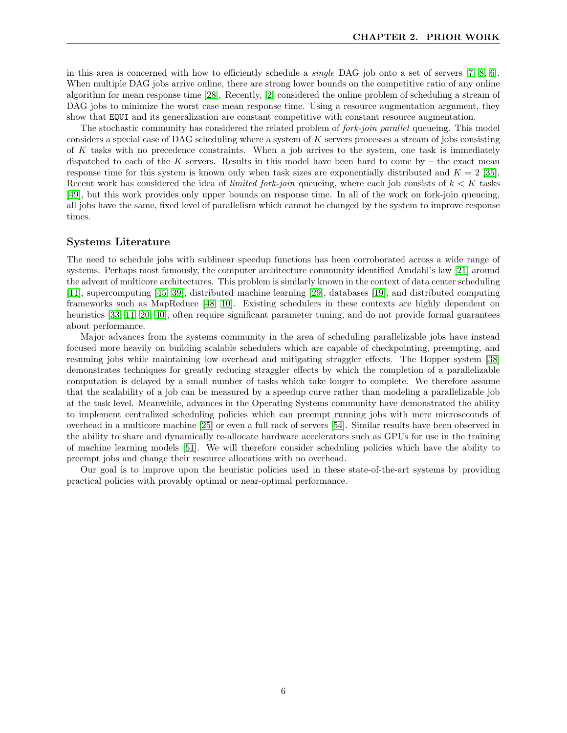in this area is concerned with how to efficiently schedule a single DAG job onto a set of servers [\[7,](#page-26-5) [8,](#page-26-6) [6\]](#page-26-7). When multiple DAG jobs arrive online, there are strong lower bounds on the competitive ratio of any online algorithm for mean response time [\[28\]](#page-27-3). Recently, [\[2\]](#page-26-8) considered the online problem of scheduling a stream of DAG jobs to minimize the worst case mean response time. Using a resource augmentation argument, they show that EQUI and its generalization are constant competitive with constant resource augmentation.

The stochastic community has considered the related problem of *fork-join parallel* queueing. This model considers a special case of DAG scheduling where a system of K servers processes a stream of jobs consisting of  $K$  tasks with no precedence constraints. When a job arrives to the system, one task is immediately dispatched to each of the K servers. Results in this model have been hard to come by  $-$  the exact mean response time for this system is known only when task sizes are exponentially distributed and  $K = 2$  [\[35\]](#page-28-2). Recent work has considered the idea of *limited fork-join* queueing, where each job consists of  $k < K$  tasks [\[49\]](#page-28-3), but this work provides only upper bounds on response time. In all of the work on fork-join queueing, all jobs have the same, fixed level of parallelism which cannot be changed by the system to improve response times.

#### Systems Literature

The need to schedule jobs with sublinear speedup functions has been corroborated across a wide range of systems. Perhaps most famously, the computer architecture community identified Amdahl's law [\[21\]](#page-27-5) around the advent of multicore architectures. This problem is similarly known in the context of data center scheduling [\[11\]](#page-26-0), supercomputing [\[45,](#page-28-4) [39\]](#page-28-5), distributed machine learning [\[29\]](#page-27-6), databases [\[19\]](#page-27-7), and distributed computing frameworks such as MapReduce [\[48,](#page-28-6) [10\]](#page-26-9). Existing schedulers in these contexts are highly dependent on heuristics [\[33,](#page-27-8) [11,](#page-26-0) [20,](#page-27-9) [40\]](#page-28-7), often require significant parameter tuning, and do not provide formal guarantees about performance.

Major advances from the systems community in the area of scheduling parallelizable jobs have instead focused more heavily on building scalable schedulers which are capable of checkpointing, preempting, and resuming jobs while maintaining low overhead and mitigating straggler effects. The Hopper system [\[38\]](#page-28-8) demonstrates techniques for greatly reducing straggler effects by which the completion of a parallelizable computation is delayed by a small number of tasks which take longer to complete. We therefore assume that the scalability of a job can be measured by a speedup curve rather than modeling a parallelizable job at the task level. Meanwhile, advances in the Operating Systems community have demonstrated the ability to implement centralized scheduling policies which can preempt running jobs with mere microseconds of overhead in a multicore machine [\[25\]](#page-27-10) or even a full rack of servers [\[54\]](#page-29-0). Similar results have been observed in the ability to share and dynamically re-allocate hardware accelerators such as GPUs for use in the training of machine learning models [\[51\]](#page-29-1). We will therefore consider scheduling policies which have the ability to preempt jobs and change their resource allocations with no overhead.

Our goal is to improve upon the heuristic policies used in these state-of-the-art systems by providing practical policies with provably optimal or near-optimal performance.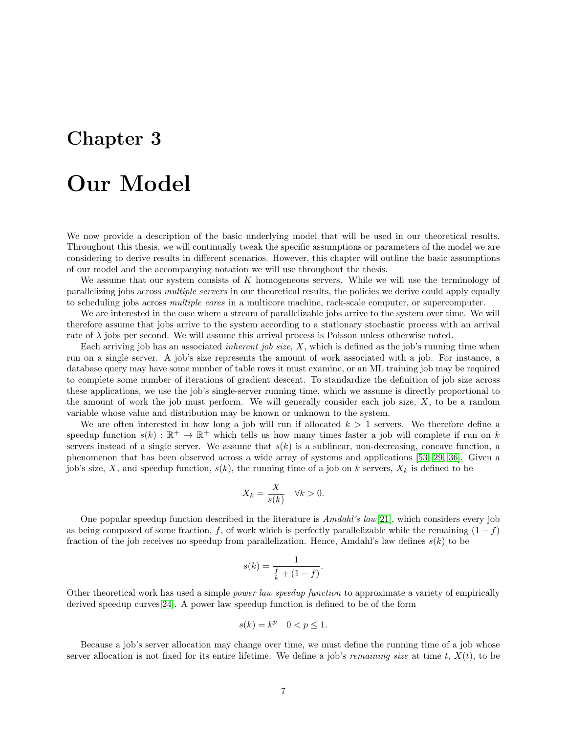# <span id="page-7-0"></span>Our Model

We now provide a description of the basic underlying model that will be used in our theoretical results. Throughout this thesis, we will continually tweak the specific assumptions or parameters of the model we are considering to derive results in different scenarios. However, this chapter will outline the basic assumptions of our model and the accompanying notation we will use throughout the thesis.

We assume that our system consists of  $K$  homogeneous servers. While we will use the terminology of parallelizing jobs across multiple servers in our theoretical results, the policies we derive could apply equally to scheduling jobs across multiple cores in a multicore machine, rack-scale computer, or supercomputer.

We are interested in the case where a stream of parallelizable jobs arrive to the system over time. We will therefore assume that jobs arrive to the system according to a stationary stochastic process with an arrival rate of  $\lambda$  jobs per second. We will assume this arrival process is Poisson unless otherwise noted.

Each arriving job has an associated *inherent job size*,  $X$ , which is defined as the job's running time when run on a single server. A job's size represents the amount of work associated with a job. For instance, a database query may have some number of table rows it must examine, or an ML training job may be required to complete some number of iterations of gradient descent. To standardize the definition of job size across these applications, we use the job's single-server running time, which we assume is directly proportional to the amount of work the job must perform. We will generally consider each job size, X, to be a random variable whose value and distribution may be known or unknown to the system.

We are often interested in how long a job will run if allocated  $k > 1$  servers. We therefore define a speedup function  $s(k) : \mathbb{R}^+ \to \mathbb{R}^+$  which tells us how many times faster a job will complete if run on k servers instead of a single server. We assume that  $s(k)$  is a sublinear, non-decreasing, concave function, a phenomenon that has been observed across a wide array of systems and applications [\[53,](#page-29-2) [29,](#page-27-6) [36\]](#page-28-9). Given a job's size, X, and speedup function,  $s(k)$ , the running time of a job on k servers,  $X_k$  is defined to be

$$
X_k = \frac{X}{s(k)} \quad \forall k > 0.
$$

One popular speedup function described in the literature is Amdahl's law[\[21\]](#page-27-5), which considers every job as being composed of some fraction, f, of work which is perfectly parallelizable while the remaining  $(1 - f)$ fraction of the job receives no speedup from parallelization. Hence, Amdahl's law defines  $s(k)$  to be

$$
s(k) = \frac{1}{\frac{f}{k} + (1 - f)}.
$$

Other theoretical work has used a simple power law speedup function to approximate a variety of empirically derived speedup curves[\[24\]](#page-27-4). A power law speedup function is defined to be of the form

$$
s(k) = k^p \quad 0 < p \le 1.
$$

Because a job's server allocation may change over time, we must define the running time of a job whose server allocation is not fixed for its entire lifetime. We define a job's *remaining size* at time t,  $X(t)$ , to be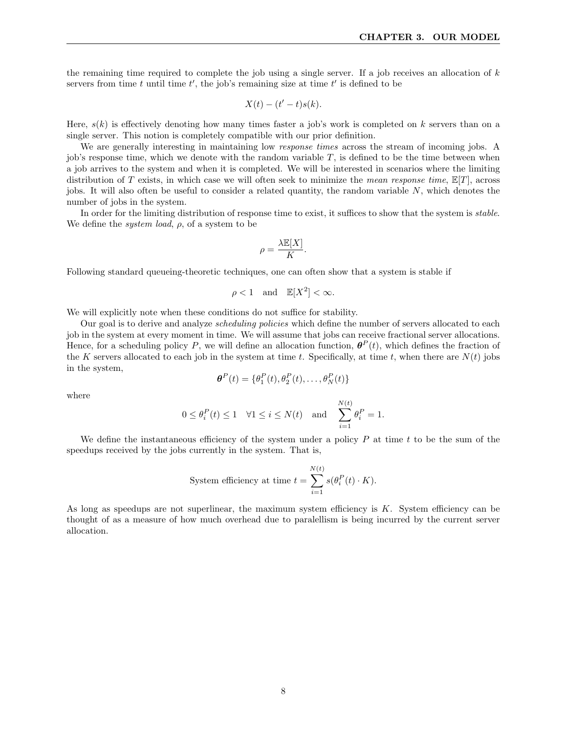the remaining time required to complete the job using a single server. If a job receives an allocation of  $k$ servers from time t until time  $t'$ , the job's remaining size at time  $t'$  is defined to be

$$
X(t) - (t'-t)s(k).
$$

Here,  $s(k)$  is effectively denoting how many times faster a job's work is completed on k servers than on a single server. This notion is completely compatible with our prior definition.

We are generally interesting in maintaining low *response times* across the stream of incoming jobs. A job's response time, which we denote with the random variable  $T$ , is defined to be the time between when a job arrives to the system and when it is completed. We will be interested in scenarios where the limiting distribution of T exists, in which case we will often seek to minimize the mean response time,  $\mathbb{E}[T]$ , across jobs. It will also often be useful to consider a related quantity, the random variable  $N$ , which denotes the number of jobs in the system.

In order for the limiting distribution of response time to exist, it suffices to show that the system is *stable*. We define the *system load*,  $\rho$ , of a system to be

$$
\rho = \frac{\lambda \mathbb{E}[X]}{K}.
$$

Following standard queueing-theoretic techniques, one can often show that a system is stable if

$$
\rho < 1 \quad \text{and} \quad \mathbb{E}[X^2] < \infty.
$$

We will explicitly note when these conditions do not suffice for stability.

Our goal is to derive and analyze *scheduling policies* which define the number of servers allocated to each job in the system at every moment in time. We will assume that jobs can receive fractional server allocations. Hence, for a scheduling policy P, we will define an allocation function,  $\theta^P(t)$ , which defines the fraction of the K servers allocated to each job in the system at time t. Specifically, at time t, when there are  $N(t)$  jobs in the system,

$$
\boldsymbol{\theta}^{P}(t) = \{\theta_1^{P}(t), \theta_2^{P}(t), \dots, \theta_N^{P}(t)\}
$$

where

$$
0 \le \theta_i^P(t) \le 1 \quad \forall 1 \le i \le N(t) \quad \text{and} \quad \sum_{i=1}^{N(t)} \theta_i^P = 1.
$$

We define the instantaneous efficiency of the system under a policy  $P$  at time t to be the sum of the speedups received by the jobs currently in the system. That is,

System efficiency at time 
$$
t = \sum_{i=1}^{N(t)} s(\theta_i^P(t) \cdot K)
$$
.

As long as speedups are not superlinear, the maximum system efficiency is K. System efficiency can be thought of as a measure of how much overhead due to paralellism is being incurred by the current server allocation.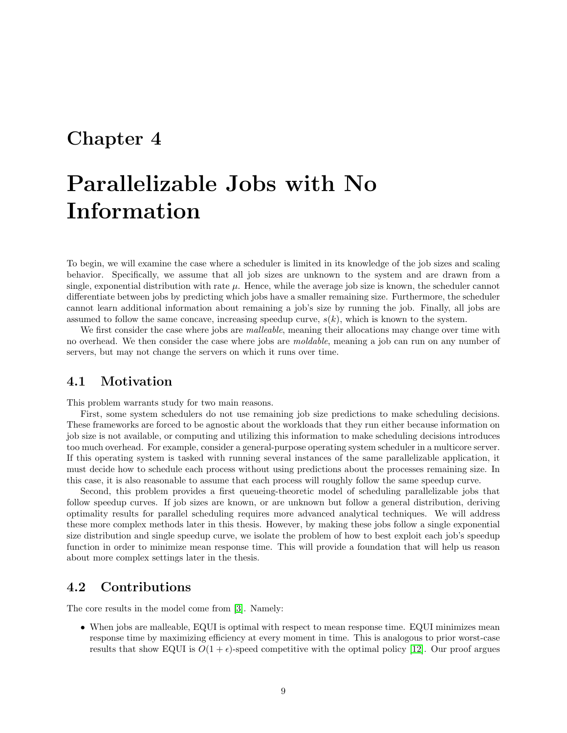# <span id="page-9-0"></span>Parallelizable Jobs with No Information

To begin, we will examine the case where a scheduler is limited in its knowledge of the job sizes and scaling behavior. Specifically, we assume that all job sizes are unknown to the system and are drawn from a single, exponential distribution with rate  $\mu$ . Hence, while the average job size is known, the scheduler cannot differentiate between jobs by predicting which jobs have a smaller remaining size. Furthermore, the scheduler cannot learn additional information about remaining a job's size by running the job. Finally, all jobs are assumed to follow the same concave, increasing speedup curve,  $s(k)$ , which is known to the system.

We first consider the case where jobs are *malleable*, meaning their allocations may change over time with no overhead. We then consider the case where jobs are moldable, meaning a job can run on any number of servers, but may not change the servers on which it runs over time.

### <span id="page-9-1"></span>4.1 Motivation

This problem warrants study for two main reasons.

First, some system schedulers do not use remaining job size predictions to make scheduling decisions. These frameworks are forced to be agnostic about the workloads that they run either because information on job size is not available, or computing and utilizing this information to make scheduling decisions introduces too much overhead. For example, consider a general-purpose operating system scheduler in a multicore server. If this operating system is tasked with running several instances of the same parallelizable application, it must decide how to schedule each process without using predictions about the processes remaining size. In this case, it is also reasonable to assume that each process will roughly follow the same speedup curve.

Second, this problem provides a first queueing-theoretic model of scheduling parallelizable jobs that follow speedup curves. If job sizes are known, or are unknown but follow a general distribution, deriving optimality results for parallel scheduling requires more advanced analytical techniques. We will address these more complex methods later in this thesis. However, by making these jobs follow a single exponential size distribution and single speedup curve, we isolate the problem of how to best exploit each job's speedup function in order to minimize mean response time. This will provide a foundation that will help us reason about more complex settings later in the thesis.

### <span id="page-9-2"></span>4.2 Contributions

The core results in the model come from [\[3\]](#page-26-10). Namely:

• When jobs are malleable, EQUI is optimal with respect to mean response time. EQUI minimizes mean response time by maximizing efficiency at every moment in time. This is analogous to prior worst-case results that show EQUI is  $O(1 + \epsilon)$ -speed competitive with the optimal policy [\[12\]](#page-26-2). Our proof argues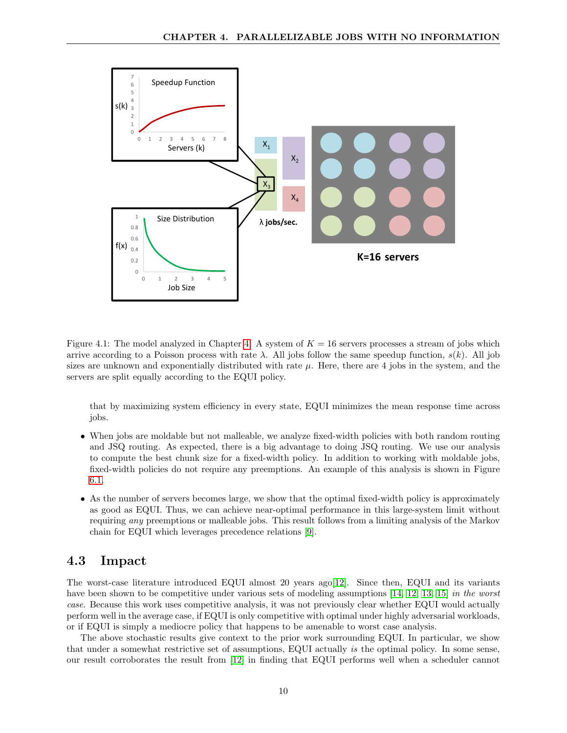

Figure [4.](#page-9-0)1: The model analyzed in Chapter 4. A system of  $K = 16$  servers processes a stream of jobs which arrive according to a Poisson process with rate  $\lambda$ . All jobs follow the same speedup function,  $s(k)$ . All job sizes are unknown and exponentially distributed with rate  $\mu$ . Here, there are 4 jobs in the system, and the servers are split equally according to the EQUI policy.

that by maximizing system efficiency in every state, EQUI minimizes the mean response time across jobs.

- When jobs are moldable but not malleable, we analyze fixed-width policies with both random routing and JSQ routing. As expected, there is a big advantage to doing JSQ routing. We use our analysis to compute the best chunk size for a fixed-width policy. In addition to working with moldable jobs, fixed-width policies do not require any preemptions. An example of this analysis is shown in Figure [6.1.](#page-16-0)
- As the number of servers becomes large, we show that the optimal fixed-width policy is approximately as good as EQUI. Thus, we can achieve near-optimal performance in this large-system limit without requiring any preemptions or malleable jobs. This result follows from a limiting analysis of the Markov chain for EQUI which leverages precedence relations [\[9\]](#page-26-11).

### <span id="page-10-0"></span>4.3 Impact

The worst-case literature introduced EQUI almost 20 years ago[\[12\]](#page-26-2). Since then, EQUI and its variants have been shown to be competitive under various sets of modeling assumptions [\[14,](#page-26-1) [12,](#page-26-2) [13,](#page-26-3) [15\]](#page-26-4) in the worst case. Because this work uses competitive analysis, it was not previously clear whether EQUI would actually perform well in the average case, if EQUI is only competitive with optimal under highly adversarial workloads, or if EQUI is simply a mediocre policy that happens to be amenable to worst case analysis.

The above stochastic results give context to the prior work surrounding EQUI. In particular, we show that under a somewhat restrictive set of assumptions, EQUI actually is the optimal policy. In some sense, our result corroborates the result from [\[12\]](#page-26-2) in finding that EQUI performs well when a scheduler cannot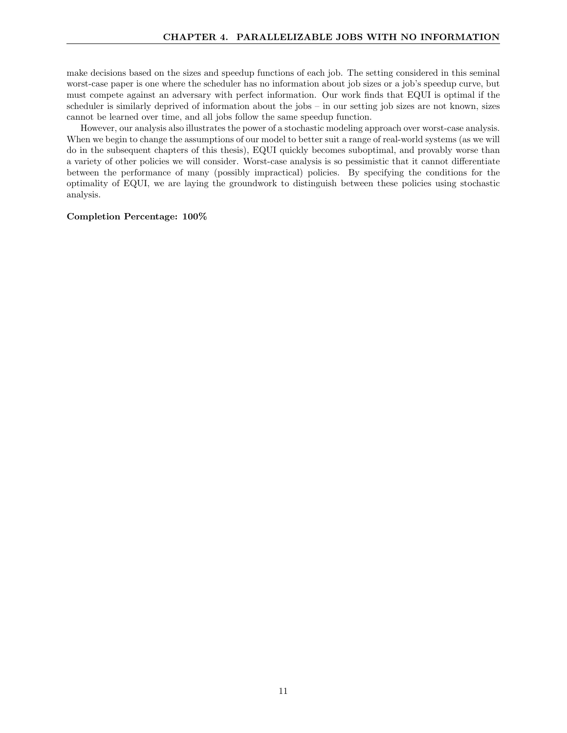make decisions based on the sizes and speedup functions of each job. The setting considered in this seminal worst-case paper is one where the scheduler has no information about job sizes or a job's speedup curve, but must compete against an adversary with perfect information. Our work finds that EQUI is optimal if the scheduler is similarly deprived of information about the jobs – in our setting job sizes are not known, sizes cannot be learned over time, and all jobs follow the same speedup function.

However, our analysis also illustrates the power of a stochastic modeling approach over worst-case analysis. When we begin to change the assumptions of our model to better suit a range of real-world systems (as we will do in the subsequent chapters of this thesis), EQUI quickly becomes suboptimal, and provably worse than a variety of other policies we will consider. Worst-case analysis is so pessimistic that it cannot differentiate between the performance of many (possibly impractical) policies. By specifying the conditions for the optimality of EQUI, we are laying the groundwork to distinguish between these policies using stochastic analysis.

#### Completion Percentage: 100%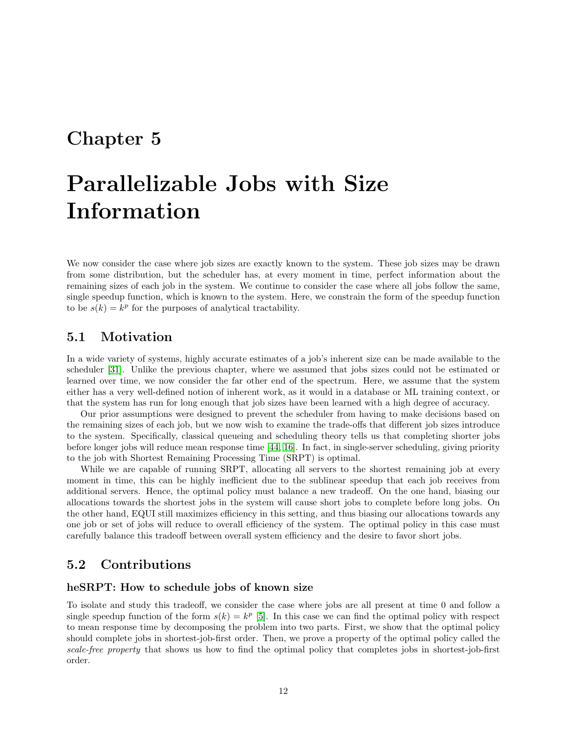# <span id="page-12-0"></span>Parallelizable Jobs with Size Information

We now consider the case where job sizes are exactly known to the system. These job sizes may be drawn from some distribution, but the scheduler has, at every moment in time, perfect information about the remaining sizes of each job in the system. We continue to consider the case where all jobs follow the same, single speedup function, which is known to the system. Here, we constrain the form of the speedup function to be  $s(k) = k^p$  for the purposes of analytical tractability.

## <span id="page-12-1"></span>5.1 Motivation

In a wide variety of systems, highly accurate estimates of a job's inherent size can be made available to the scheduler [\[31\]](#page-27-11). Unlike the previous chapter, where we assumed that jobs sizes could not be estimated or learned over time, we now consider the far other end of the spectrum. Here, we assume that the system either has a very well-defined notion of inherent work, as it would in a database or ML training context, or that the system has run for long enough that job sizes have been learned with a high degree of accuracy.

Our prior assumptions were designed to prevent the scheduler from having to make decisions based on the remaining sizes of each job, but we now wish to examine the trade-offs that different job sizes introduce to the system. Specifically, classical queueing and scheduling theory tells us that completing shorter jobs before longer jobs will reduce mean response time [\[44,](#page-28-10) [16\]](#page-26-12). In fact, in single-server scheduling, giving priority to the job with Shortest Remaining Processing Time (SRPT) is optimal.

While we are capable of running SRPT, allocating all servers to the shortest remaining job at every moment in time, this can be highly inefficient due to the sublinear speedup that each job receives from additional servers. Hence, the optimal policy must balance a new tradeoff. On the one hand, biasing our allocations towards the shortest jobs in the system will cause short jobs to complete before long jobs. On the other hand, EQUI still maximizes efficiency in this setting, and thus biasing our allocations towards any one job or set of jobs will reduce to overall efficiency of the system. The optimal policy in this case must carefully balance this tradeoff between overall system efficiency and the desire to favor short jobs.

## <span id="page-12-2"></span>5.2 Contributions

### heSRPT: How to schedule jobs of known size

To isolate and study this tradeoff, we consider the case where jobs are all present at time 0 and follow a single speedup function of the form  $s(k) = k^p$  [\[5\]](#page-26-13). In this case we can find the optimal policy with respect to mean response time by decomposing the problem into two parts. First, we show that the optimal policy should complete jobs in shortest-job-first order. Then, we prove a property of the optimal policy called the scale-free property that shows us how to find the optimal policy that completes jobs in shortest-job-first order.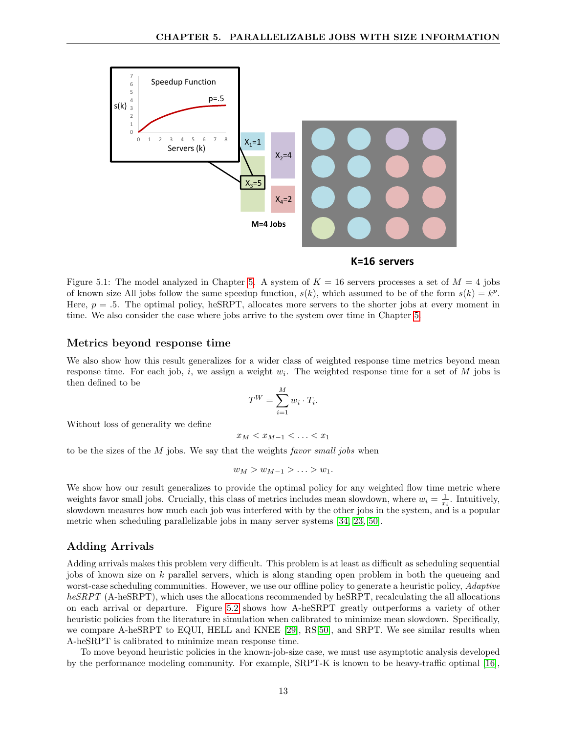

#### **K=16 servers**

Figure [5.](#page-12-0)1: The model analyzed in Chapter 5. A system of  $K = 16$  servers processes a set of  $M = 4$  jobs of known size All jobs follow the same speedup function,  $s(k)$ , which assumed to be of the form  $s(k) = k^p$ . Here,  $p = 0.5$ . The optimal policy, heSRPT, allocates more servers to the shorter jobs at every moment in time. We also consider the case where jobs arrive to the system over time in Chapter [5.](#page-12-0)

#### Metrics beyond response time

We also show how this result generalizes for a wider class of weighted response time metrics beyond mean response time. For each job, i, we assign a weight  $w_i$ . The weighted response time for a set of M jobs is then defined to be

$$
T^W = \sum_{i=1}^M w_i \cdot T_i.
$$

Without loss of generality we define

$$
x_M < x_{M-1} < \ldots < x_1
$$

to be the sizes of the  $M$  jobs. We say that the weights *favor small jobs* when

$$
w_M > w_{M-1} > \ldots > w_1.
$$

We show how our result generalizes to provide the optimal policy for any weighted flow time metric where weights favor small jobs. Crucially, this class of metrics includes mean slowdown, where  $w_i = \frac{1}{x_i}$ . Intuitively, slowdown measures how much each job was interfered with by the other jobs in the system, and is a popular metric when scheduling parallelizable jobs in many server systems [\[34,](#page-28-11) [23,](#page-27-12) [50\]](#page-28-12).

#### <span id="page-13-0"></span>Adding Arrivals

Adding arrivals makes this problem very difficult. This problem is at least as difficult as scheduling sequential jobs of known size on k parallel servers, which is along standing open problem in both the queueing and worst-case scheduling communities. However, we use our offline policy to generate a heuristic policy, *Adaptive* heSRPT (A-heSRPT), which uses the allocations recommended by heSRPT, recalculating the all allocations on each arrival or departure. Figure [5.2](#page-13-0) shows how A-heSRPT greatly outperforms a variety of other heuristic policies from the literature in simulation when calibrated to minimize mean slowdown. Specifically, we compare A-heSRPT to EQUI, HELL and KNEE [\[29\]](#page-27-6), RS[\[50\]](#page-28-12), and SRPT. We see similar results when A-heSRPT is calibrated to minimize mean response time.

To move beyond heuristic policies in the known-job-size case, we must use asymptotic analysis developed by the performance modeling community. For example, SRPT-K is known to be heavy-traffic optimal [\[16\]](#page-26-12),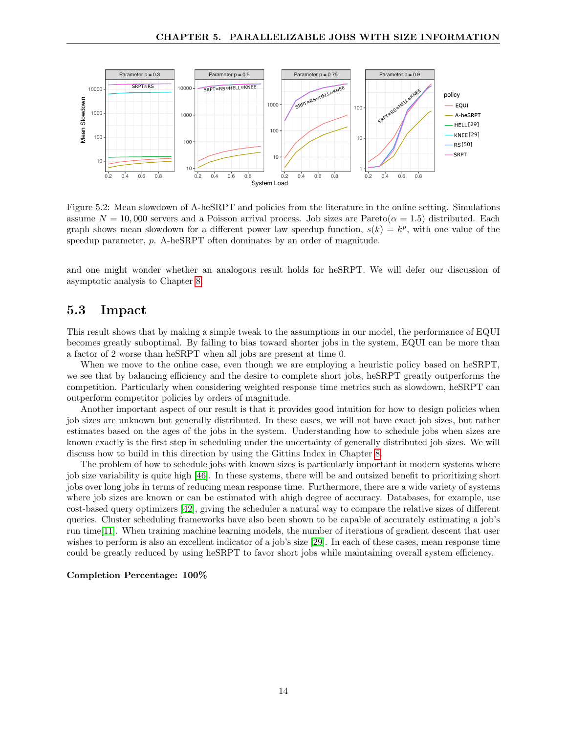

Figure 5.2: Mean slowdown of A-heSRPT and policies from the literature in the online setting. Simulations assume  $N = 10,000$  servers and a Poisson arrival process. Job sizes are Pareto( $\alpha = 1.5$ ) distributed. Each graph shows mean slowdown for a different power law speedup function,  $s(k) = k^p$ , with one value of the speedup parameter, p. A-heSRPT often dominates by an order of magnitude.

and one might wonder whether an analogous result holds for heSRPT. We will defer our discussion of asymptotic analysis to Chapter [8.](#page-22-0)

### <span id="page-14-0"></span>5.3 Impact

This result shows that by making a simple tweak to the assumptions in our model, the performance of EQUI becomes greatly suboptimal. By failing to bias toward shorter jobs in the system, EQUI can be more than a factor of 2 worse than heSRPT when all jobs are present at time 0.

When we move to the online case, even though we are employing a heuristic policy based on heSRPT, we see that by balancing efficiency and the desire to complete short jobs, heSRPT greatly outperforms the competition. Particularly when considering weighted response time metrics such as slowdown, heSRPT can outperform competitor policies by orders of magnitude.

Another important aspect of our result is that it provides good intuition for how to design policies when job sizes are unknown but generally distributed. In these cases, we will not have exact job sizes, but rather estimates based on the ages of the jobs in the system. Understanding how to schedule jobs when sizes are known exactly is the first step in scheduling under the uncertainty of generally distributed job sizes. We will discuss how to build in this direction by using the Gittins Index in Chapter [8.](#page-22-0)

The problem of how to schedule jobs with known sizes is particularly important in modern systems where job size variability is quite high [\[46\]](#page-28-13). In these systems, there will be and outsized benefit to prioritizing short jobs over long jobs in terms of reducing mean response time. Furthermore, there are a wide variety of systems where job sizes are known or can be estimated with ahigh degree of accuracy. Databases, for example, use cost-based query optimizers [\[42\]](#page-28-14), giving the scheduler a natural way to compare the relative sizes of different queries. Cluster scheduling frameworks have also been shown to be capable of accurately estimating a job's run time[\[11\]](#page-26-0). When training machine learning models, the number of iterations of gradient descent that user wishes to perform is also an excellent indicator of a job's size [\[29\]](#page-27-6). In each of these cases, mean response time could be greatly reduced by using heSRPT to favor short jobs while maintaining overall system efficiency.

### Completion Percentage: 100%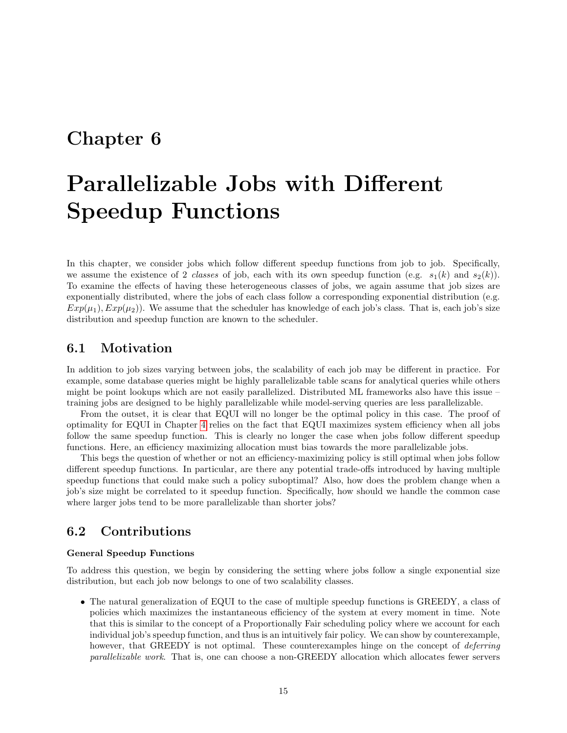# <span id="page-15-0"></span>Parallelizable Jobs with Different Speedup Functions

In this chapter, we consider jobs which follow different speedup functions from job to job. Specifically, we assume the existence of 2 classes of job, each with its own speedup function (e.g.  $s_1(k)$  and  $s_2(k)$ ). To examine the effects of having these heterogeneous classes of jobs, we again assume that job sizes are exponentially distributed, where the jobs of each class follow a corresponding exponential distribution (e.g.  $Exp(\mu_1), Exp(\mu_2)$ . We assume that the scheduler has knowledge of each job's class. That is, each job's size distribution and speedup function are known to the scheduler.

### <span id="page-15-1"></span>6.1 Motivation

In addition to job sizes varying between jobs, the scalability of each job may be different in practice. For example, some database queries might be highly parallelizable table scans for analytical queries while others might be point lookups which are not easily parallelized. Distributed ML frameworks also have this issue – training jobs are designed to be highly parallelizable while model-serving queries are less parallelizable.

From the outset, it is clear that EQUI will no longer be the optimal policy in this case. The proof of optimality for EQUI in Chapter [4](#page-9-0) relies on the fact that EQUI maximizes system efficiency when all jobs follow the same speedup function. This is clearly no longer the case when jobs follow different speedup functions. Here, an efficiency maximizing allocation must bias towards the more parallelizable jobs.

This begs the question of whether or not an efficiency-maximizing policy is still optimal when jobs follow different speedup functions. In particular, are there any potential trade-offs introduced by having multiple speedup functions that could make such a policy suboptimal? Also, how does the problem change when a job's size might be correlated to it speedup function. Specifically, how should we handle the common case where larger jobs tend to be more parallelizable than shorter jobs?

## <span id="page-15-2"></span>6.2 Contributions

### General Speedup Functions

To address this question, we begin by considering the setting where jobs follow a single exponential size distribution, but each job now belongs to one of two scalability classes.

• The natural generalization of EQUI to the case of multiple speedup functions is GREEDY, a class of policies which maximizes the instantaneous efficiency of the system at every moment in time. Note that this is similar to the concept of a Proportionally Fair scheduling policy where we account for each individual job's speedup function, and thus is an intuitively fair policy. We can show by counterexample, however, that GREEDY is not optimal. These counterexamples hinge on the concept of *deferring* parallelizable work. That is, one can choose a non-GREEDY allocation which allocates fewer servers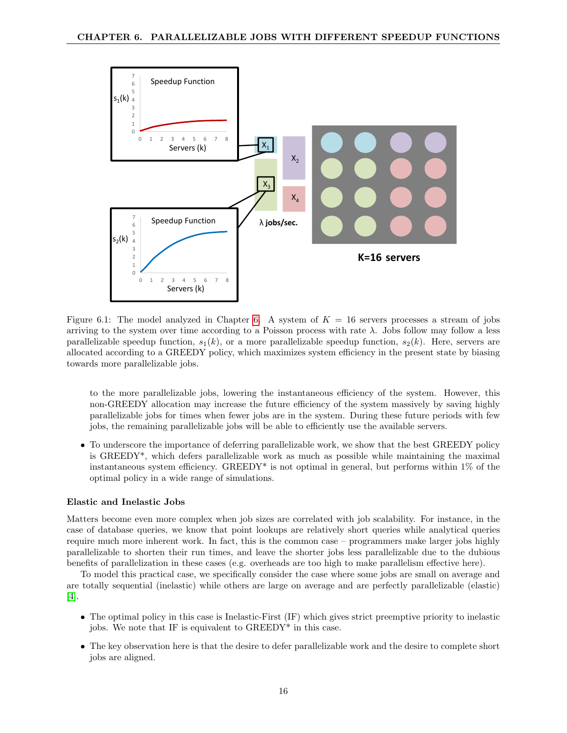

<span id="page-16-0"></span>Figure [6.](#page-15-0)1: The model analyzed in Chapter 6. A system of  $K = 16$  servers processes a stream of jobs arriving to the system over time according to a Poisson process with rate  $\lambda$ . Jobs follow may follow a less parallelizable speedup function,  $s_1(k)$ , or a more parallelizable speedup function,  $s_2(k)$ . Here, servers are allocated according to a GREEDY policy, which maximizes system efficiency in the present state by biasing towards more parallelizable jobs.

to the more parallelizable jobs, lowering the instantaneous efficiency of the system. However, this non-GREEDY allocation may increase the future efficiency of the system massively by saving highly parallelizable jobs for times when fewer jobs are in the system. During these future periods with few jobs, the remaining parallelizable jobs will be able to efficiently use the available servers.

• To underscore the importance of deferring parallelizable work, we show that the best GREEDY policy is GREEDY\*, which defers parallelizable work as much as possible while maintaining the maximal instantaneous system efficiency. GREEDY\* is not optimal in general, but performs within  $1\%$  of the optimal policy in a wide range of simulations.

#### Elastic and Inelastic Jobs

Matters become even more complex when job sizes are correlated with job scalability. For instance, in the case of database queries, we know that point lookups are relatively short queries while analytical queries require much more inherent work. In fact, this is the common case – programmers make larger jobs highly parallelizable to shorten their run times, and leave the shorter jobs less parallelizable due to the dubious benefits of parallelization in these cases (e.g. overheads are too high to make parallelism effective here).

To model this practical case, we specifically consider the case where some jobs are small on average and are totally sequential (inelastic) while others are large on average and are perfectly parallelizable (elastic) [\[4\]](#page-26-14).

- The optimal policy in this case is Inelastic-First (IF) which gives strict preemptive priority to inelastic jobs. We note that IF is equivalent to GREEDY\* in this case.
- The key observation here is that the desire to defer parallelizable work and the desire to complete short jobs are aligned.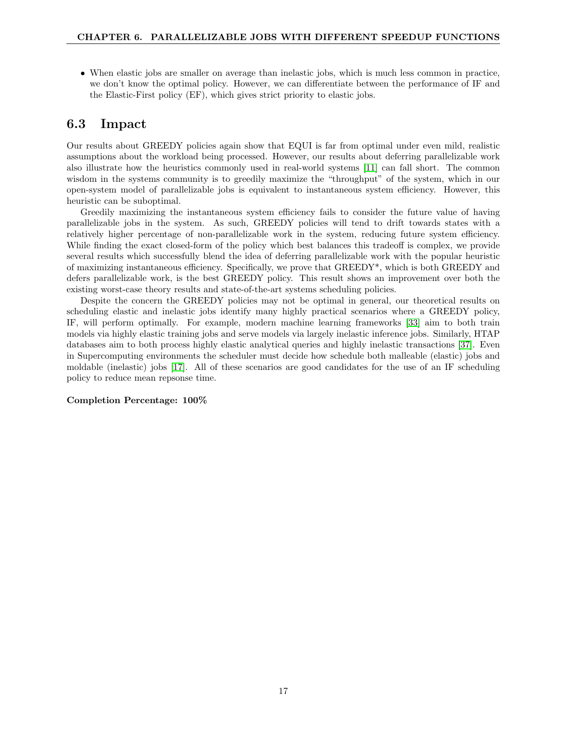• When elastic jobs are smaller on average than inelastic jobs, which is much less common in practice, we don't know the optimal policy. However, we can differentiate between the performance of IF and the Elastic-First policy (EF), which gives strict priority to elastic jobs.

## <span id="page-17-0"></span>6.3 Impact

Our results about GREEDY policies again show that EQUI is far from optimal under even mild, realistic assumptions about the workload being processed. However, our results about deferring parallelizable work also illustrate how the heuristics commonly used in real-world systems [\[11\]](#page-26-0) can fall short. The common wisdom in the systems community is to greedily maximize the "throughput" of the system, which in our open-system model of parallelizable jobs is equivalent to instantaneous system efficiency. However, this heuristic can be suboptimal.

Greedily maximizing the instantaneous system efficiency fails to consider the future value of having parallelizable jobs in the system. As such, GREEDY policies will tend to drift towards states with a relatively higher percentage of non-parallelizable work in the system, reducing future system efficiency. While finding the exact closed-form of the policy which best balances this tradeoff is complex, we provide several results which successfully blend the idea of deferring parallelizable work with the popular heuristic of maximizing instantaneous efficiency. Specifically, we prove that GREEDY\*, which is both GREEDY and defers parallelizable work, is the best GREEDY policy. This result shows an improvement over both the existing worst-case theory results and state-of-the-art systems scheduling policies.

Despite the concern the GREEDY policies may not be optimal in general, our theoretical results on scheduling elastic and inelastic jobs identify many highly practical scenarios where a GREEDY policy, IF, will perform optimally. For example, modern machine learning frameworks [\[33\]](#page-27-8) aim to both train models via highly elastic training jobs and serve models via largely inelastic inference jobs. Similarly, HTAP databases aim to both process highly elastic analytical queries and highly inelastic transactions [\[37\]](#page-28-15). Even in Supercomputing environments the scheduler must decide how schedule both malleable (elastic) jobs and moldable (inelastic) jobs [\[17\]](#page-27-13). All of these scenarios are good candidates for the use of an IF scheduling policy to reduce mean repsonse time.

#### Completion Percentage: 100%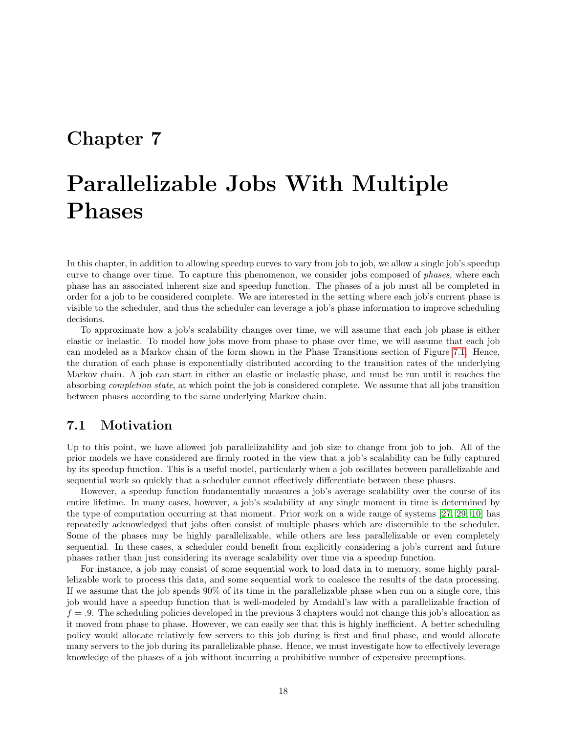# <span id="page-18-0"></span>Parallelizable Jobs With Multiple Phases

In this chapter, in addition to allowing speedup curves to vary from job to job, we allow a single job's speedup curve to change over time. To capture this phenomenon, we consider jobs composed of *phases*, where each phase has an associated inherent size and speedup function. The phases of a job must all be completed in order for a job to be considered complete. We are interested in the setting where each job's current phase is visible to the scheduler, and thus the scheduler can leverage a job's phase information to improve scheduling decisions.

To approximate how a job's scalability changes over time, we will assume that each job phase is either elastic or inelastic. To model how jobs move from phase to phase over time, we will assume that each job can modeled as a Markov chain of the form shown in the Phase Transitions section of Figure [7.1.](#page-19-1) Hence, the duration of each phase is exponentially distributed according to the transition rates of the underlying Markov chain. A job can start in either an elastic or inelastic phase, and must be run until it reaches the absorbing completion state, at which point the job is considered complete. We assume that all jobs transition between phases according to the same underlying Markov chain.

### <span id="page-18-1"></span>7.1 Motivation

Up to this point, we have allowed job parallelizability and job size to change from job to job. All of the prior models we have considered are firmly rooted in the view that a job's scalability can be fully captured by its speedup function. This is a useful model, particularly when a job oscillates between parallelizable and sequential work so quickly that a scheduler cannot effectively differentiate between these phases.

However, a speedup function fundamentally measures a job's average scalability over the course of its entire lifetime. In many cases, however, a job's scalability at any single moment in time is determined by the type of computation occurring at that moment. Prior work on a wide range of systems [\[27,](#page-27-14) [29,](#page-27-6) [10\]](#page-26-9) has repeatedly acknowledged that jobs often consist of multiple phases which are discernible to the scheduler. Some of the phases may be highly parallelizable, while others are less parallelizable or even completely sequential. In these cases, a scheduler could benefit from explicitly considering a job's current and future phases rather than just considering its average scalability over time via a speedup function.

For instance, a job may consist of some sequential work to load data in to memory, some highly parallelizable work to process this data, and some sequential work to coalesce the results of the data processing. If we assume that the job spends 90% of its time in the parallelizable phase when run on a single core, this job would have a speedup function that is well-modeled by Amdahl's law with a parallelizable fraction of  $f = 0.9$ . The scheduling policies developed in the previous 3 chapters would not change this job's allocation as it moved from phase to phase. However, we can easily see that this is highly inefficient. A better scheduling policy would allocate relatively few servers to this job during is first and final phase, and would allocate many servers to the job during its parallelizable phase. Hence, we must investigate how to effectively leverage knowledge of the phases of a job without incurring a prohibitive number of expensive preemptions.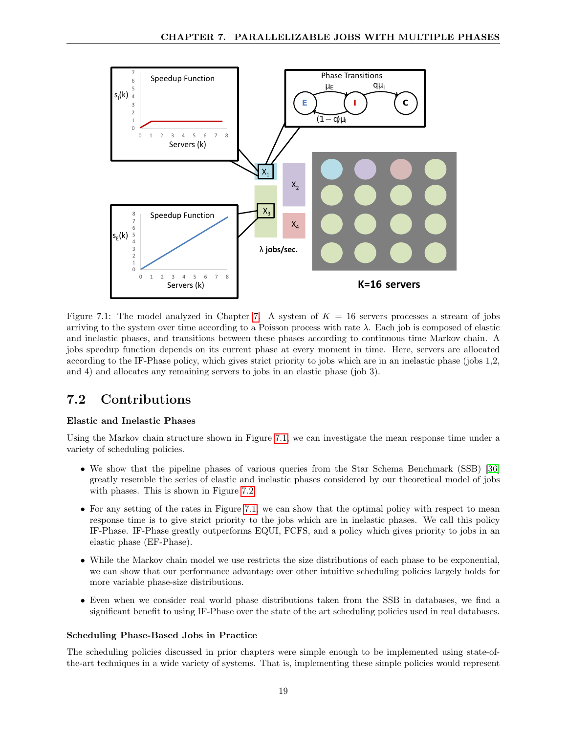

<span id="page-19-1"></span>Figure [7.](#page-18-0)1: The model analyzed in Chapter 7. A system of  $K = 16$  servers processes a stream of jobs arriving to the system over time according to a Poisson process with rate  $\lambda$ . Each job is composed of elastic and inelastic phases, and transitions between these phases according to continuous time Markov chain. A jobs speedup function depends on its current phase at every moment in time. Here, servers are allocated according to the IF-Phase policy, which gives strict priority to jobs which are in an inelastic phase (jobs 1,2, and 4) and allocates any remaining servers to jobs in an elastic phase (job 3).

## <span id="page-19-0"></span>7.2 Contributions

### Elastic and Inelastic Phases

Using the Markov chain structure shown in Figure [7.1,](#page-19-1) we can investigate the mean response time under a variety of scheduling policies.

- We show that the pipeline phases of various queries from the Star Schema Benchmark (SSB) [\[36\]](#page-28-9) greatly resemble the series of elastic and inelastic phases considered by our theoretical model of jobs with phases. This is shown in Figure [7.2.](#page-20-1)
- For any setting of the rates in Figure [7.1,](#page-19-1) we can show that the optimal policy with respect to mean response time is to give strict priority to the jobs which are in inelastic phases. We call this policy IF-Phase. IF-Phase greatly outperforms EQUI, FCFS, and a policy which gives priority to jobs in an elastic phase (EF-Phase).
- While the Markov chain model we use restricts the size distributions of each phase to be exponential, we can show that our performance advantage over other intuitive scheduling policies largely holds for more variable phase-size distributions.
- Even when we consider real world phase distributions taken from the SSB in databases, we find a significant benefit to using IF-Phase over the state of the art scheduling policies used in real databases.

### Scheduling Phase-Based Jobs in Practice

The scheduling policies discussed in prior chapters were simple enough to be implemented using state-ofthe-art techniques in a wide variety of systems. That is, implementing these simple policies would represent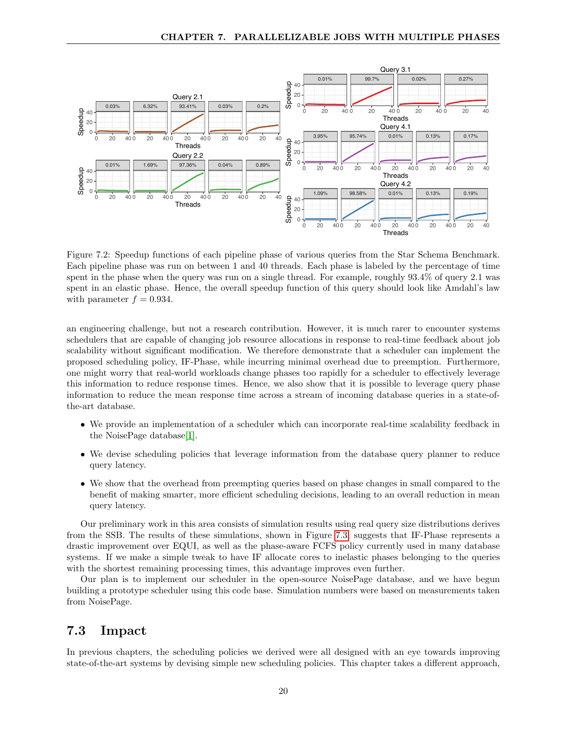

<span id="page-20-1"></span>Figure 7.2: Speedup functions of each pipeline phase of various queries from the Star Schema Benchmark. Each pipeline phase was run on between 1 and 40 threads. Each phase is labeled by the percentage of time spent in the phase when the query was run on a single thread. For example, roughly 93.4% of query 2.1 was spent in an elastic phase. Hence, the overall speedup function of this query should look like Amdahl's law with parameter  $f = 0.934$ .

an engineering challenge, but not a research contribution. However, it is much rarer to encounter systems schedulers that are capable of changing job resource allocations in response to real-time feedback about job scalability without significant modification. We therefore demonstrate that a scheduler can implement the proposed scheduling policy, IF-Phase, while incurring minimal overhead due to preemption. Furthermore, one might worry that real-world workloads change phases too rapidly for a scheduler to effectively leverage this information to reduce response times. Hence, we also show that it is possible to leverage query phase information to reduce the mean response time across a stream of incoming database queries in a state-ofthe-art database.

- We provide an implementation of a scheduler which can incorporate real-time scalability feedback in the NoisePage database[\[1\]](#page-26-15).
- We devise scheduling policies that leverage information from the database query planner to reduce query latency.
- We show that the overhead from preempting queries based on phase changes in small compared to the benefit of making smarter, more efficient scheduling decisions, leading to an overall reduction in mean query latency.

Our preliminary work in this area consists of simulation results using real query size distributions derives from the SSB. The results of these simulations, shown in Figure [7.3,](#page-21-0) suggests that IF-Phase represents a drastic improvement over EQUI, as well as the phase-aware FCFS policy currently used in many database systems. If we make a simple tweak to have IF allocate cores to inelastic phases belonging to the queries with the shortest remaining processing times, this advantage improves even further.

Our plan is to implement our scheduler in the open-source NoisePage database, and we have begun building a prototype scheduler using this code base. Simulation numbers were based on measurements taken from NoisePage.

### <span id="page-20-0"></span>7.3 Impact

In previous chapters, the scheduling policies we derived were all designed with an eye towards improving state-of-the-art systems by devising simple new scheduling policies. This chapter takes a different approach,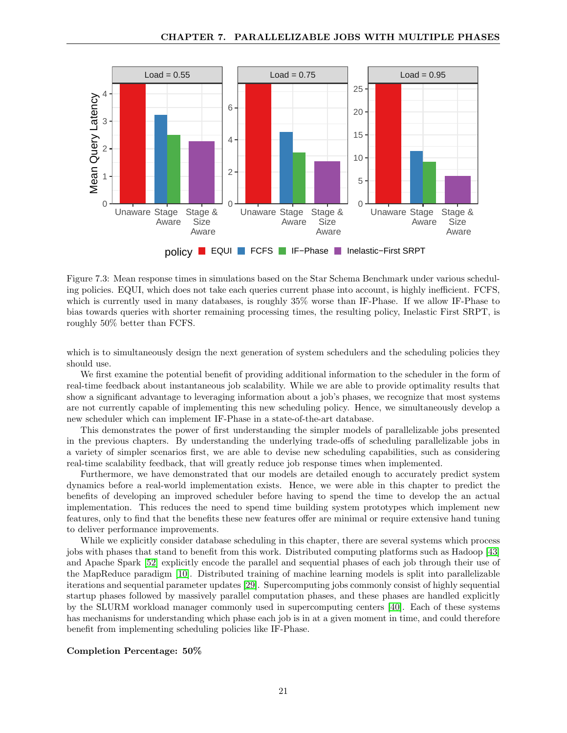

<span id="page-21-0"></span>Figure 7.3: Mean response times in simulations based on the Star Schema Benchmark under various scheduling policies. EQUI, which does not take each queries current phase into account, is highly inefficient. FCFS, which is currently used in many databases, is roughly 35% worse than IF-Phase. If we allow IF-Phase to bias towards queries with shorter remaining processing times, the resulting policy, Inelastic First SRPT, is roughly 50% better than FCFS.

which is to simultaneously design the next generation of system schedulers and the scheduling policies they should use.

We first examine the potential benefit of providing additional information to the scheduler in the form of real-time feedback about instantaneous job scalability. While we are able to provide optimality results that show a significant advantage to leveraging information about a job's phases, we recognize that most systems are not currently capable of implementing this new scheduling policy. Hence, we simultaneously develop a new scheduler which can implement IF-Phase in a state-of-the-art database.

This demonstrates the power of first understanding the simpler models of parallelizable jobs presented in the previous chapters. By understanding the underlying trade-offs of scheduling parallelizable jobs in a variety of simpler scenarios first, we are able to devise new scheduling capabilities, such as considering real-time scalability feedback, that will greatly reduce job response times when implemented.

Furthermore, we have demonstrated that our models are detailed enough to accurately predict system dynamics before a real-world implementation exists. Hence, we were able in this chapter to predict the benefits of developing an improved scheduler before having to spend the time to develop the an actual implementation. This reduces the need to spend time building system prototypes which implement new features, only to find that the benefits these new features offer are minimal or require extensive hand tuning to deliver performance improvements.

While we explicitly consider database scheduling in this chapter, there are several systems which process jobs with phases that stand to benefit from this work. Distributed computing platforms such as Hadoop [\[43\]](#page-28-16) and Apache Spark [\[52\]](#page-29-3) explicitly encode the parallel and sequential phases of each job through their use of the MapReduce paradigm [\[10\]](#page-26-9). Distributed training of machine learning models is split into parallelizable iterations and sequential parameter updates [\[29\]](#page-27-6). Supercomputing jobs commonly consist of highly sequential startup phases followed by massively parallel computation phases, and these phases are handled explicitly by the SLURM workload manager commonly used in supercomputing centers [\[40\]](#page-28-7). Each of these systems has mechanisms for understanding which phase each job is in at a given moment in time, and could therefore benefit from implementing scheduling policies like IF-Phase.

#### Completion Percentage: 50%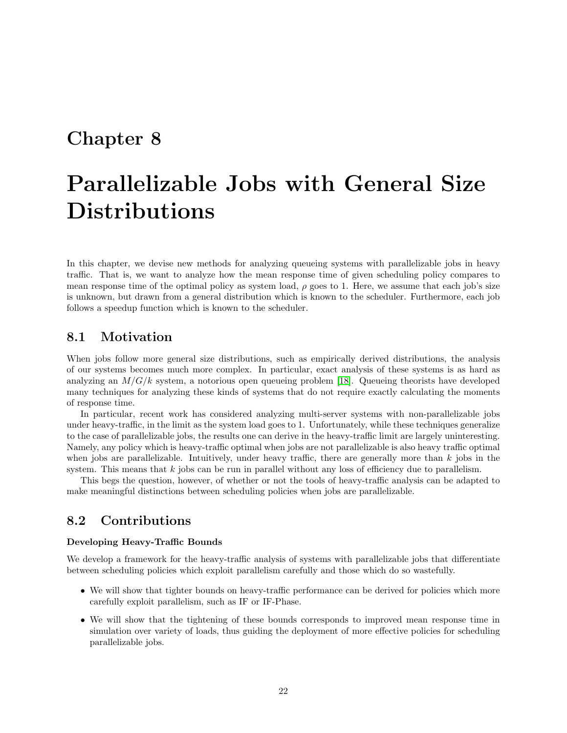# <span id="page-22-0"></span>Parallelizable Jobs with General Size Distributions

In this chapter, we devise new methods for analyzing queueing systems with parallelizable jobs in heavy traffic. That is, we want to analyze how the mean response time of given scheduling policy compares to mean response time of the optimal policy as system load,  $\rho$  goes to 1. Here, we assume that each job's size is unknown, but drawn from a general distribution which is known to the scheduler. Furthermore, each job follows a speedup function which is known to the scheduler.

## <span id="page-22-1"></span>8.1 Motivation

When jobs follow more general size distributions, such as empirically derived distributions, the analysis of our systems becomes much more complex. In particular, exact analysis of these systems is as hard as analyzing an  $M/G/k$  system, a notorious open queueing problem [\[18\]](#page-27-15). Queueing theorists have developed many techniques for analyzing these kinds of systems that do not require exactly calculating the moments of response time.

In particular, recent work has considered analyzing multi-server systems with non-parallelizable jobs under heavy-traffic, in the limit as the system load goes to 1. Unfortunately, while these techniques generalize to the case of parallelizable jobs, the results one can derive in the heavy-traffic limit are largely uninteresting. Namely, any policy which is heavy-traffic optimal when jobs are not parallelizable is also heavy traffic optimal when jobs are parallelizable. Intuitively, under heavy traffic, there are generally more than  $k$  jobs in the system. This means that  $k$  jobs can be run in parallel without any loss of efficiency due to parallelism.

This begs the question, however, of whether or not the tools of heavy-traffic analysis can be adapted to make meaningful distinctions between scheduling policies when jobs are parallelizable.

### <span id="page-22-2"></span>8.2 Contributions

#### Developing Heavy-Traffic Bounds

We develop a framework for the heavy-traffic analysis of systems with parallelizable jobs that differentiate between scheduling policies which exploit parallelism carefully and those which do so wastefully.

- We will show that tighter bounds on heavy-traffic performance can be derived for policies which more carefully exploit parallelism, such as IF or IF-Phase.
- We will show that the tightening of these bounds corresponds to improved mean response time in simulation over variety of loads, thus guiding the deployment of more effective policies for scheduling parallelizable jobs.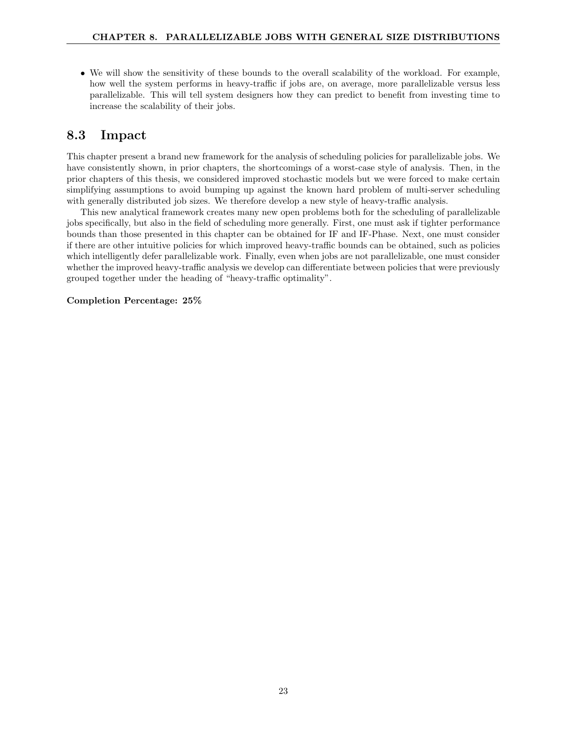• We will show the sensitivity of these bounds to the overall scalability of the workload. For example, how well the system performs in heavy-traffic if jobs are, on average, more parallelizable versus less parallelizable. This will tell system designers how they can predict to benefit from investing time to increase the scalability of their jobs.

## <span id="page-23-0"></span>8.3 Impact

This chapter present a brand new framework for the analysis of scheduling policies for parallelizable jobs. We have consistently shown, in prior chapters, the shortcomings of a worst-case style of analysis. Then, in the prior chapters of this thesis, we considered improved stochastic models but we were forced to make certain simplifying assumptions to avoid bumping up against the known hard problem of multi-server scheduling with generally distributed job sizes. We therefore develop a new style of heavy-traffic analysis.

This new analytical framework creates many new open problems both for the scheduling of parallelizable jobs specifically, but also in the field of scheduling more generally. First, one must ask if tighter performance bounds than those presented in this chapter can be obtained for IF and IF-Phase. Next, one must consider if there are other intuitive policies for which improved heavy-traffic bounds can be obtained, such as policies which intelligently defer parallelizable work. Finally, even when jobs are not parallelizable, one must consider whether the improved heavy-traffic analysis we develop can differentiate between policies that were previously grouped together under the heading of "heavy-traffic optimality".

### Completion Percentage: 25%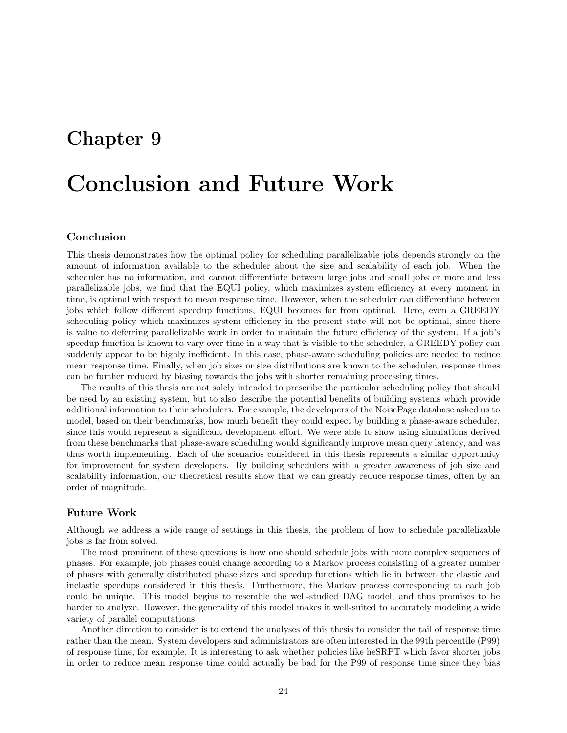# <span id="page-24-0"></span>Conclusion and Future Work

### Conclusion

This thesis demonstrates how the optimal policy for scheduling parallelizable jobs depends strongly on the amount of information available to the scheduler about the size and scalability of each job. When the scheduler has no information, and cannot differentiate between large jobs and small jobs or more and less parallelizable jobs, we find that the EQUI policy, which maximizes system efficiency at every moment in time, is optimal with respect to mean response time. However, when the scheduler can differentiate between jobs which follow different speedup functions, EQUI becomes far from optimal. Here, even a GREEDY scheduling policy which maximizes system efficiency in the present state will not be optimal, since there is value to deferring parallelizable work in order to maintain the future efficiency of the system. If a job's speedup function is known to vary over time in a way that is visible to the scheduler, a GREEDY policy can suddenly appear to be highly inefficient. In this case, phase-aware scheduling policies are needed to reduce mean response time. Finally, when job sizes or size distributions are known to the scheduler, response times can be further reduced by biasing towards the jobs with shorter remaining processing times.

The results of this thesis are not solely intended to prescribe the particular scheduling policy that should be used by an existing system, but to also describe the potential benefits of building systems which provide additional information to their schedulers. For example, the developers of the NoisePage database asked us to model, based on their benchmarks, how much benefit they could expect by building a phase-aware scheduler, since this would represent a significant development effort. We were able to show using simulations derived from these benchmarks that phase-aware scheduling would significantly improve mean query latency, and was thus worth implementing. Each of the scenarios considered in this thesis represents a similar opportunity for improvement for system developers. By building schedulers with a greater awareness of job size and scalability information, our theoretical results show that we can greatly reduce response times, often by an order of magnitude.

#### Future Work

Although we address a wide range of settings in this thesis, the problem of how to schedule parallelizable jobs is far from solved.

The most prominent of these questions is how one should schedule jobs with more complex sequences of phases. For example, job phases could change according to a Markov process consisting of a greater number of phases with generally distributed phase sizes and speedup functions which lie in between the elastic and inelastic speedups considered in this thesis. Furthermore, the Markov process corresponding to each job could be unique. This model begins to resemble the well-studied DAG model, and thus promises to be harder to analyze. However, the generality of this model makes it well-suited to accurately modeling a wide variety of parallel computations.

Another direction to consider is to extend the analyses of this thesis to consider the tail of response time rather than the mean. System developers and administrators are often interested in the 99th percentile (P99) of response time, for example. It is interesting to ask whether policies like heSRPT which favor shorter jobs in order to reduce mean response time could actually be bad for the P99 of response time since they bias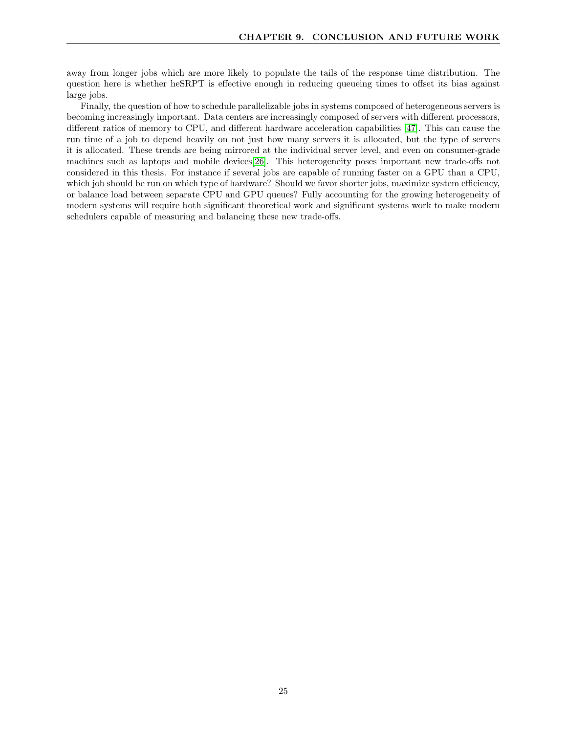away from longer jobs which are more likely to populate the tails of the response time distribution. The question here is whether heSRPT is effective enough in reducing queueing times to offset its bias against large jobs.

Finally, the question of how to schedule parallelizable jobs in systems composed of heterogeneous servers is becoming increasingly important. Data centers are increasingly composed of servers with different processors, different ratios of memory to CPU, and different hardware acceleration capabilities [\[47\]](#page-28-0). This can cause the run time of a job to depend heavily on not just how many servers it is allocated, but the type of servers it is allocated. These trends are being mirrored at the individual server level, and even on consumer-grade machines such as laptops and mobile devices[\[26\]](#page-27-16). This heterogeneity poses important new trade-offs not considered in this thesis. For instance if several jobs are capable of running faster on a GPU than a CPU, which job should be run on which type of hardware? Should we favor shorter jobs, maximize system efficiency, or balance load between separate CPU and GPU queues? Fully accounting for the growing heterogeneity of modern systems will require both significant theoretical work and significant systems work to make modern schedulers capable of measuring and balancing these new trade-offs.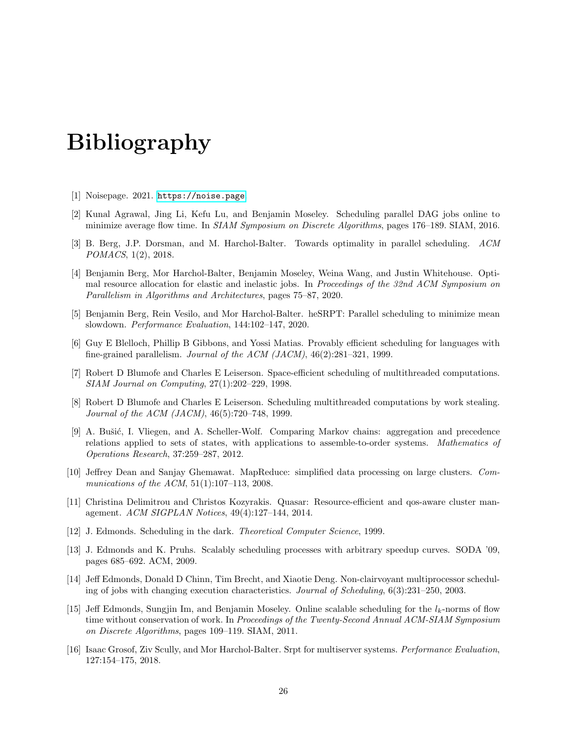# Bibliography

- <span id="page-26-15"></span>[1] Noisepage. 2021. <https://noise.page>.
- <span id="page-26-8"></span>[2] Kunal Agrawal, Jing Li, Kefu Lu, and Benjamin Moseley. Scheduling parallel DAG jobs online to minimize average flow time. In SIAM Symposium on Discrete Algorithms, pages 176–189. SIAM, 2016.
- <span id="page-26-10"></span>[3] B. Berg, J.P. Dorsman, and M. Harchol-Balter. Towards optimality in parallel scheduling. ACM POMACS, 1(2), 2018.
- <span id="page-26-14"></span>[4] Benjamin Berg, Mor Harchol-Balter, Benjamin Moseley, Weina Wang, and Justin Whitehouse. Optimal resource allocation for elastic and inelastic jobs. In Proceedings of the 32nd ACM Symposium on Parallelism in Algorithms and Architectures, pages 75–87, 2020.
- <span id="page-26-13"></span>[5] Benjamin Berg, Rein Vesilo, and Mor Harchol-Balter. heSRPT: Parallel scheduling to minimize mean slowdown. Performance Evaluation, 144:102–147, 2020.
- <span id="page-26-7"></span>[6] Guy E Blelloch, Phillip B Gibbons, and Yossi Matias. Provably efficient scheduling for languages with fine-grained parallelism. Journal of the ACM  $(JACM)$ ,  $46(2):281-321$ , 1999.
- <span id="page-26-5"></span>[7] Robert D Blumofe and Charles E Leiserson. Space-efficient scheduling of multithreaded computations. SIAM Journal on Computing, 27(1):202–229, 1998.
- <span id="page-26-6"></span>[8] Robert D Blumofe and Charles E Leiserson. Scheduling multithreaded computations by work stealing. Journal of the ACM (JACM), 46(5):720–748, 1999.
- <span id="page-26-11"></span>[9] A. Bušić, I. Vliegen, and A. Scheller-Wolf. Comparing Markov chains: aggregation and precedence relations applied to sets of states, with applications to assemble-to-order systems. Mathematics of Operations Research, 37:259–287, 2012.
- <span id="page-26-9"></span>[10] Jeffrey Dean and Sanjay Ghemawat. MapReduce: simplified data processing on large clusters. Communications of the ACM, 51(1):107-113, 2008.
- <span id="page-26-0"></span>[11] Christina Delimitrou and Christos Kozyrakis. Quasar: Resource-efficient and qos-aware cluster management. ACM SIGPLAN Notices, 49(4):127–144, 2014.
- <span id="page-26-2"></span>[12] J. Edmonds. Scheduling in the dark. Theoretical Computer Science, 1999.
- <span id="page-26-3"></span>[13] J. Edmonds and K. Pruhs. Scalably scheduling processes with arbitrary speedup curves. SODA '09, pages 685–692. ACM, 2009.
- <span id="page-26-1"></span>[14] Jeff Edmonds, Donald D Chinn, Tim Brecht, and Xiaotie Deng. Non-clairvoyant multiprocessor scheduling of jobs with changing execution characteristics. Journal of Scheduling, 6(3):231–250, 2003.
- <span id="page-26-4"></span>[15] Jeff Edmonds, Sungjin Im, and Benjamin Moseley. Online scalable scheduling for the  $l_k$ -norms of flow time without conservation of work. In Proceedings of the Twenty-Second Annual ACM-SIAM Symposium on Discrete Algorithms, pages 109–119. SIAM, 2011.
- <span id="page-26-12"></span>[16] Isaac Grosof, Ziv Scully, and Mor Harchol-Balter. Srpt for multiserver systems. Performance Evaluation, 127:154–175, 2018.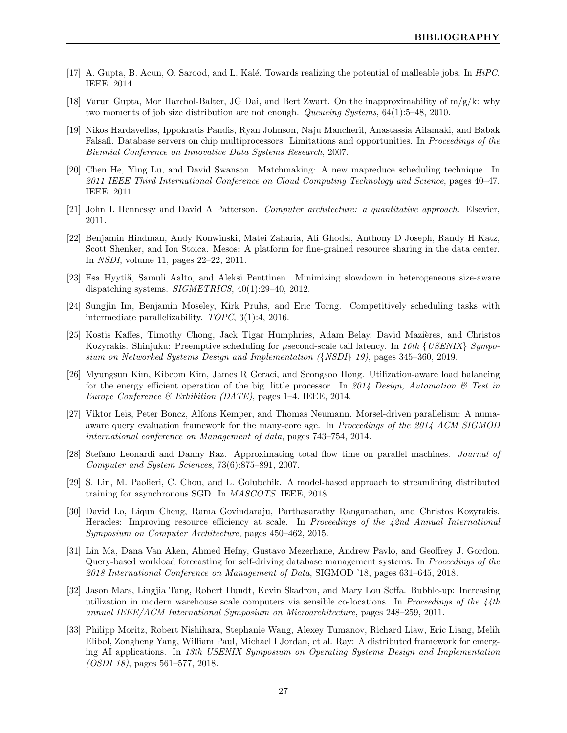- <span id="page-27-13"></span>[17] A. Gupta, B. Acun, O. Sarood, and L. Kalé. Towards realizing the potential of malleable jobs. In  $HiPC$ . IEEE, 2014.
- <span id="page-27-15"></span>[18] Varun Gupta, Mor Harchol-Balter, JG Dai, and Bert Zwart. On the inapproximability of m/g/k: why two moments of job size distribution are not enough. Queueing Systems, 64(1):5–48, 2010.
- <span id="page-27-7"></span>[19] Nikos Hardavellas, Ippokratis Pandis, Ryan Johnson, Naju Mancheril, Anastassia Ailamaki, and Babak Falsafi. Database servers on chip multiprocessors: Limitations and opportunities. In Proceedings of the Biennial Conference on Innovative Data Systems Research, 2007.
- <span id="page-27-9"></span>[20] Chen He, Ying Lu, and David Swanson. Matchmaking: A new mapreduce scheduling technique. In 2011 IEEE Third International Conference on Cloud Computing Technology and Science, pages 40–47. IEEE, 2011.
- <span id="page-27-5"></span>[21] John L Hennessy and David A Patterson. Computer architecture: a quantitative approach. Elsevier, 2011.
- <span id="page-27-0"></span>[22] Benjamin Hindman, Andy Konwinski, Matei Zaharia, Ali Ghodsi, Anthony D Joseph, Randy H Katz, Scott Shenker, and Ion Stoica. Mesos: A platform for fine-grained resource sharing in the data center. In NSDI, volume 11, pages 22–22, 2011.
- <span id="page-27-12"></span>[23] Esa Hyytiä, Samuli Aalto, and Aleksi Penttinen. Minimizing slowdown in heterogeneous size-aware dispatching systems. SIGMETRICS, 40(1):29–40, 2012.
- <span id="page-27-4"></span>[24] Sungjin Im, Benjamin Moseley, Kirk Pruhs, and Eric Torng. Competitively scheduling tasks with intermediate parallelizability. TOPC, 3(1):4, 2016.
- <span id="page-27-10"></span>[25] Kostis Kaffes, Timothy Chong, Jack Tigar Humphries, Adam Belay, David Mazières, and Christos Kozyrakis. Shinjuku: Preemptive scheduling for  $\mu$ second-scale tail latency. In 16th {USENIX} Symposium on Networked Systems Design and Implementation ({NSDI} 19), pages 345–360, 2019.
- <span id="page-27-16"></span>[26] Myungsun Kim, Kibeom Kim, James R Geraci, and Seongsoo Hong. Utilization-aware load balancing for the energy efficient operation of the big. little processor. In 2014 Design, Automation  $\mathcal C$  Test in Europe Conference & Exhibition (DATE), pages 1–4. IEEE, 2014.
- <span id="page-27-14"></span>[27] Viktor Leis, Peter Boncz, Alfons Kemper, and Thomas Neumann. Morsel-driven parallelism: A numaaware query evaluation framework for the many-core age. In Proceedings of the 2014 ACM SIGMOD international conference on Management of data, pages 743–754, 2014.
- <span id="page-27-3"></span>[28] Stefano Leonardi and Danny Raz. Approximating total flow time on parallel machines. Journal of Computer and System Sciences, 73(6):875–891, 2007.
- <span id="page-27-6"></span>[29] S. Lin, M. Paolieri, C. Chou, and L. Golubchik. A model-based approach to streamlining distributed training for asynchronous SGD. In MASCOTS. IEEE, 2018.
- <span id="page-27-2"></span>[30] David Lo, Liqun Cheng, Rama Govindaraju, Parthasarathy Ranganathan, and Christos Kozyrakis. Heracles: Improving resource efficiency at scale. In Proceedings of the 42nd Annual International Symposium on Computer Architecture, pages 450–462, 2015.
- <span id="page-27-11"></span>[31] Lin Ma, Dana Van Aken, Ahmed Hefny, Gustavo Mezerhane, Andrew Pavlo, and Geoffrey J. Gordon. Query-based workload forecasting for self-driving database management systems. In Proceedings of the 2018 International Conference on Management of Data, SIGMOD '18, pages 631–645, 2018.
- <span id="page-27-1"></span>[32] Jason Mars, Lingjia Tang, Robert Hundt, Kevin Skadron, and Mary Lou Soffa. Bubble-up: Increasing utilization in modern warehouse scale computers via sensible co-locations. In Proceedings of the  $\frac{1}{4}$ th annual IEEE/ACM International Symposium on Microarchitecture, pages 248–259, 2011.
- <span id="page-27-8"></span>[33] Philipp Moritz, Robert Nishihara, Stephanie Wang, Alexey Tumanov, Richard Liaw, Eric Liang, Melih Elibol, Zongheng Yang, William Paul, Michael I Jordan, et al. Ray: A distributed framework for emerging AI applications. In 13th USENIX Symposium on Operating Systems Design and Implementation (OSDI 18), pages 561–577, 2018.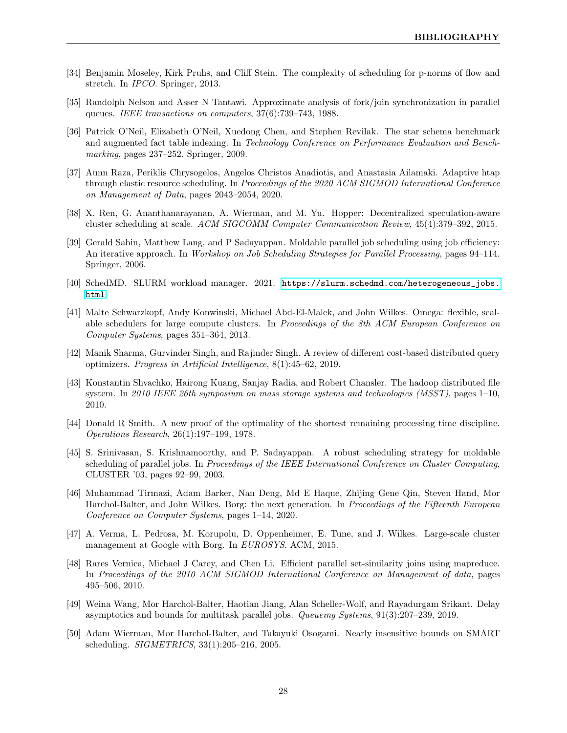- <span id="page-28-11"></span>[34] Benjamin Moseley, Kirk Pruhs, and Cliff Stein. The complexity of scheduling for p-norms of flow and stretch. In IPCO. Springer, 2013.
- <span id="page-28-2"></span>[35] Randolph Nelson and Asser N Tantawi. Approximate analysis of fork/join synchronization in parallel queues. IEEE transactions on computers, 37(6):739–743, 1988.
- <span id="page-28-9"></span>[36] Patrick O'Neil, Elizabeth O'Neil, Xuedong Chen, and Stephen Revilak. The star schema benchmark and augmented fact table indexing. In Technology Conference on Performance Evaluation and Benchmarking, pages 237–252. Springer, 2009.
- <span id="page-28-15"></span>[37] Aunn Raza, Periklis Chrysogelos, Angelos Christos Anadiotis, and Anastasia Ailamaki. Adaptive htap through elastic resource scheduling. In Proceedings of the 2020 ACM SIGMOD International Conference on Management of Data, pages 2043–2054, 2020.
- <span id="page-28-8"></span>[38] X. Ren, G. Ananthanarayanan, A. Wierman, and M. Yu. Hopper: Decentralized speculation-aware cluster scheduling at scale. ACM SIGCOMM Computer Communication Review, 45(4):379–392, 2015.
- <span id="page-28-5"></span>[39] Gerald Sabin, Matthew Lang, and P Sadayappan. Moldable parallel job scheduling using job efficiency: An iterative approach. In Workshop on Job Scheduling Strategies for Parallel Processing, pages 94–114. Springer, 2006.
- <span id="page-28-7"></span>[40] SchedMD. SLURM workload manager. 2021. [https://slurm.schedmd.com/heterogeneous\\_jobs.](https://slurm.schedmd.com/heterogeneous_jobs.html) [html](https://slurm.schedmd.com/heterogeneous_jobs.html).
- <span id="page-28-1"></span>[41] Malte Schwarzkopf, Andy Konwinski, Michael Abd-El-Malek, and John Wilkes. Omega: flexible, scalable schedulers for large compute clusters. In Proceedings of the 8th ACM European Conference on Computer Systems, pages 351–364, 2013.
- <span id="page-28-14"></span>[42] Manik Sharma, Gurvinder Singh, and Rajinder Singh. A review of different cost-based distributed query optimizers. Progress in Artificial Intelligence, 8(1):45–62, 2019.
- <span id="page-28-16"></span>[43] Konstantin Shvachko, Hairong Kuang, Sanjay Radia, and Robert Chansler. The hadoop distributed file system. In 2010 IEEE 26th symposium on mass storage systems and technologies (MSST), pages 1–10, 2010.
- <span id="page-28-10"></span>[44] Donald R Smith. A new proof of the optimality of the shortest remaining processing time discipline. Operations Research, 26(1):197–199, 1978.
- <span id="page-28-4"></span>[45] S. Srinivasan, S. Krishnamoorthy, and P. Sadayappan. A robust scheduling strategy for moldable scheduling of parallel jobs. In *Proceedings of the IEEE International Conference on Cluster Computing*, CLUSTER '03, pages 92–99, 2003.
- <span id="page-28-13"></span>[46] Muhammad Tirmazi, Adam Barker, Nan Deng, Md E Haque, Zhijing Gene Qin, Steven Hand, Mor Harchol-Balter, and John Wilkes. Borg: the next generation. In Proceedings of the Fifteenth European Conference on Computer Systems, pages 1–14, 2020.
- <span id="page-28-0"></span>[47] A. Verma, L. Pedrosa, M. Korupolu, D. Oppenheimer, E. Tune, and J. Wilkes. Large-scale cluster management at Google with Borg. In EUROSYS. ACM, 2015.
- <span id="page-28-6"></span>[48] Rares Vernica, Michael J Carey, and Chen Li. Efficient parallel set-similarity joins using mapreduce. In Proceedings of the 2010 ACM SIGMOD International Conference on Management of data, pages 495–506, 2010.
- <span id="page-28-3"></span>[49] Weina Wang, Mor Harchol-Balter, Haotian Jiang, Alan Scheller-Wolf, and Rayadurgam Srikant. Delay asymptotics and bounds for multitask parallel jobs. Queueing Systems, 91(3):207–239, 2019.
- <span id="page-28-12"></span>[50] Adam Wierman, Mor Harchol-Balter, and Takayuki Osogami. Nearly insensitive bounds on SMART scheduling. SIGMETRICS, 33(1):205–216, 2005.